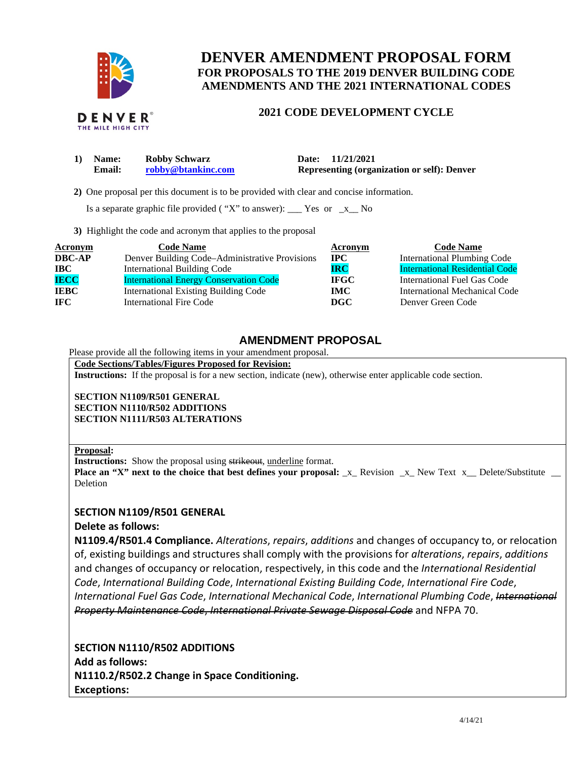

## **DENVER AMENDMENT PROPOSAL FORM FOR PROPOSALS TO THE 2019 DENVER BUILDING CODE AMENDMENTS AND THE 2021 INTERNATIONAL CODES**

## **2021 CODE DEVELOPMENT CYCLE**

| 1) Name:      | <b>Robby Schwarz</b> | Date: 11/21/2021                                   |
|---------------|----------------------|----------------------------------------------------|
| <b>Email:</b> | robby@btankinc.com   | <b>Representing (organization or self): Denver</b> |

 **2)** One proposal per this document is to be provided with clear and concise information.

Is a separate graphic file provided ("X" to answer):  $\frac{\ }{2}$  Yes or  $\frac{\ }{2}$  No

**3)** Highlight the code and acronym that applies to the proposal

| <b>Acronym</b> | <b>Code Name</b>                               | Acronym      | <b>Code Name</b>                      |
|----------------|------------------------------------------------|--------------|---------------------------------------|
| <b>DBC-AP</b>  | Denver Building Code-Administrative Provisions | $_{\rm IPC}$ | <b>International Plumbing Code</b>    |
| <b>IBC</b>     | <b>International Building Code</b>             | <b>IRC</b>   | <b>International Residential Code</b> |
| <b>IECC</b>    | <b>International Energy Conservation Code</b>  | <b>IFGC</b>  | International Fuel Gas Code           |
| <b>IEBC</b>    | <b>International Existing Building Code</b>    | <b>IMC</b>   | International Mechanical Code         |
| IFC.           | International Fire Code                        | DGC          | Denver Green Code                     |

## **AMENDMENT PROPOSAL**

Please provide all the following items in your amendment proposal.

**Code Sections/Tables/Figures Proposed for Revision:** 

**Instructions:** If the proposal is for a new section, indicate (new), otherwise enter applicable code section.

**SECTION N1109/R501 GENERAL SECTION N1110/R502 ADDITIONS SECTION N1111/R503 ALTERATIONS** 

#### **Proposal:**

**Instructions:** Show the proposal using strikeout, underline format.

**Place an "X" next to the choice that best defines your proposal:** \_x\_ Revision \_x\_ New Text x\_ Delete/Substitute **Deletion** 

### **SECTION N1109/R501 GENERAL**

### **Delete as follows:**

**N1109.4/R501.4 Compliance.** *Alterations*, *repairs*, *additions* and changes of occupancy to, or relocation of, existing buildings and structures shall comply with the provisions for *alterations*, *repairs*, *additions*  and changes of occupancy or relocation, respectively, in this code and the *International Residential Code*, *International Building Code*, *International Existing Building Code*, *International Fire Code*, *International Fuel Gas Code*, *International Mechanical Code*, *International Plumbing Code*, *International Property Maintenance Code*, *International Private Sewage Disposal Code* and NFPA 70.

**SECTION N1110/R502 ADDITIONS Add as follows: N1110.2/R502.2 Change in Space Conditioning. Exceptions:**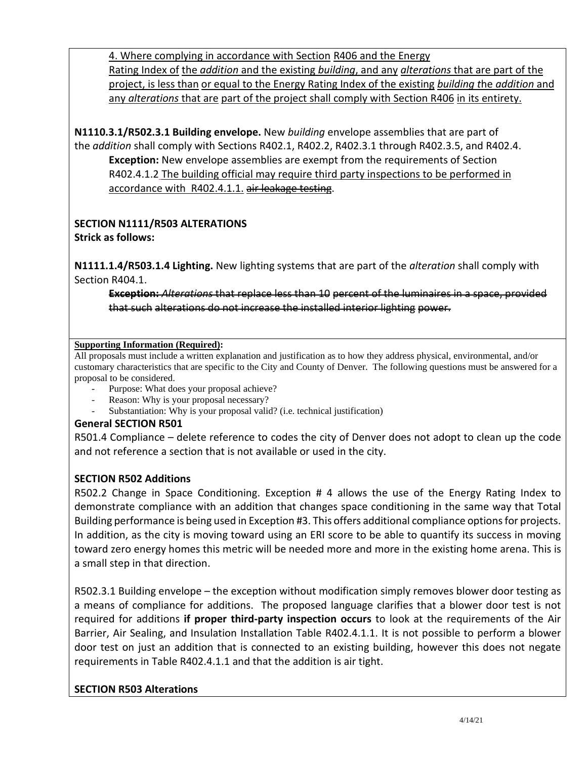4. Where complying in accordance with Section R406 and the Energy Rating Index of the *addition* and the existing *building*, and any *alterations* that are part of the project, is less than or equal to the Energy Rating Index of the existing *building t*he *addition* and any *alterations* that are part of the project shall comply with Section R406 in its entirety.

**N1110.3.1/R502.3.1 Building envelope.** New *building* envelope assemblies that are part of the *addition* shall comply with Sections R402.1, R402.2, R402.3.1 through R402.3.5, and R402.4. **Exception:** New envelope assemblies are exempt from the requirements of Section R402.4.1.2 The building official may require third party inspections to be performed in accordance with R402.4.1.1. air leakage testing.

# **SECTION N1111/R503 ALTERATIONS**

**Strick as follows:** 

**N1111.1.4/R503.1.4 Lighting.** New lighting systems that are part of the *alteration* shall comply with Section R404.1.

**Exception:** *Alterations* that replace less than 10 percent of the luminaires in a space, provided that such alterations do not increase the installed interior lighting power.

## **Supporting Information (Required):**

All proposals must include a written explanation and justification as to how they address physical, environmental, and/or customary characteristics that are specific to the City and County of Denver. The following questions must be answered for a proposal to be considered.

- Purpose: What does your proposal achieve?
- Reason: Why is your proposal necessary?
- Substantiation: Why is your proposal valid? (i.e. technical justification)

## **General SECTION R501**

R501.4 Compliance – delete reference to codes the city of Denver does not adopt to clean up the code and not reference a section that is not available or used in the city.

## **SECTION R502 Additions**

R502.2 Change in Space Conditioning. Exception # 4 allows the use of the Energy Rating Index to demonstrate compliance with an addition that changes space conditioning in the same way that Total Building performance is being used in Exception #3. This offers additional compliance options for projects. In addition, as the city is moving toward using an ERI score to be able to quantify its success in moving toward zero energy homes this metric will be needed more and more in the existing home arena. This is a small step in that direction.

R502.3.1 Building envelope – the exception without modification simply removes blower door testing as a means of compliance for additions. The proposed language clarifies that a blower door test is not required for additions **if proper third-party inspection occurs** to look at the requirements of the Air Barrier, Air Sealing, and Insulation Installation Table R402.4.1.1. It is not possible to perform a blower door test on just an addition that is connected to an existing building, however this does not negate requirements in Table R402.4.1.1 and that the addition is air tight.

## **SECTION R503 Alterations**